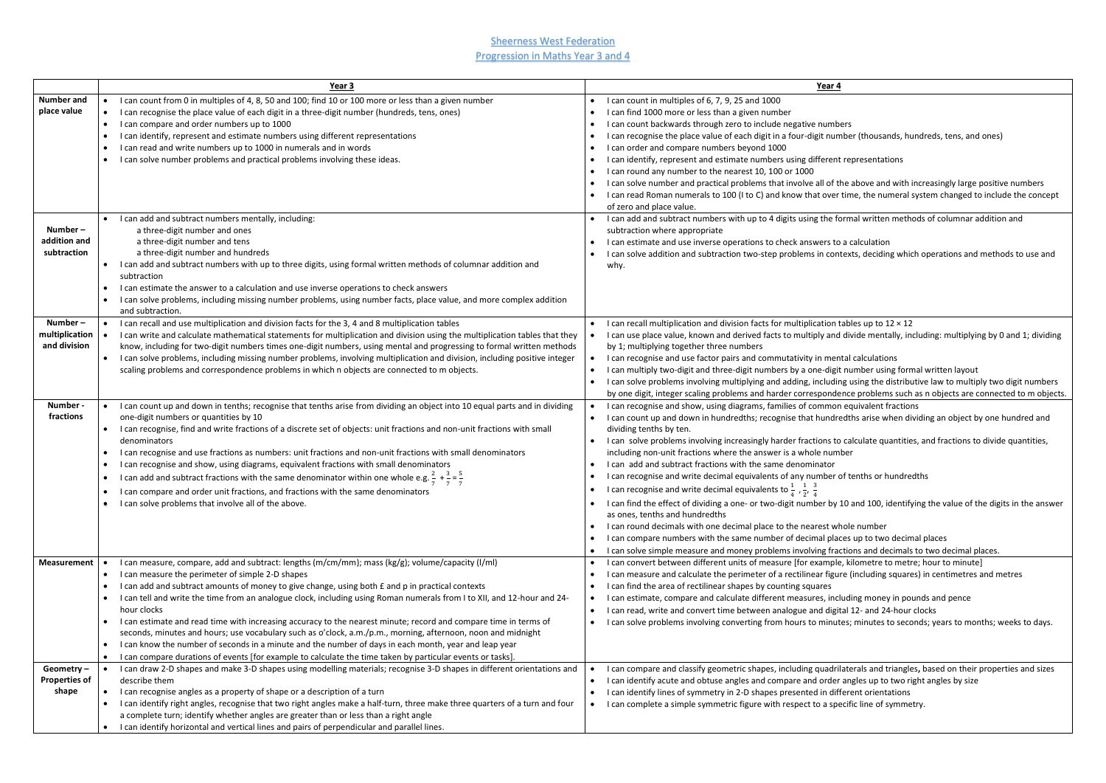**Sheerness West Federation** Progression in Maths Year 3 and 4

> • I can compare and classify geometric shapes, including quadrilaterals and triangles**,** based on their properties and sizes er angles up to two right angles by size ifferent orientations pecific line of symmetry.

|                                            | Year 3                                                                                                                                                                                                                                                                                                                                                                                                                                                                                                                                                                                                                                                                                                                                                                                                                                                                                                                                      | Year 4                                                                                                                                                                                                                                                                                                                                                                                                                                                                                                                                                                                                                                                                                                                                                                                                                                                                     |
|--------------------------------------------|---------------------------------------------------------------------------------------------------------------------------------------------------------------------------------------------------------------------------------------------------------------------------------------------------------------------------------------------------------------------------------------------------------------------------------------------------------------------------------------------------------------------------------------------------------------------------------------------------------------------------------------------------------------------------------------------------------------------------------------------------------------------------------------------------------------------------------------------------------------------------------------------------------------------------------------------|----------------------------------------------------------------------------------------------------------------------------------------------------------------------------------------------------------------------------------------------------------------------------------------------------------------------------------------------------------------------------------------------------------------------------------------------------------------------------------------------------------------------------------------------------------------------------------------------------------------------------------------------------------------------------------------------------------------------------------------------------------------------------------------------------------------------------------------------------------------------------|
| <b>Number and</b><br>place value           | I can count from 0 in multiples of 4, 8, 50 and 100; find 10 or 100 more or less than a given number<br>I can recognise the place value of each digit in a three-digit number (hundreds, tens, ones)<br>I can compare and order numbers up to 1000<br>$\bullet$<br>I can identify, represent and estimate numbers using different representations<br>$\bullet$<br>I can read and write numbers up to 1000 in numerals and in words<br>$\bullet$<br>I can solve number problems and practical problems involving these ideas.                                                                                                                                                                                                                                                                                                                                                                                                                | I can count in multiples of 6, 7, 9, 25 and 1000<br>I can find 1000 more or less than a given number<br>I can count backwards through zero to include negative numbers<br>I can recognise the place value of each digit in a four-digit numbe<br>I can order and compare numbers beyond 1000<br>I can identify, represent and estimate numbers using different rep<br>I can round any number to the nearest 10, 100 or 1000<br>I can solve number and practical problems that involve all of the a<br>I can read Roman numerals to 100 (I to C) and know that over tim<br>of zero and place value.                                                                                                                                                                                                                                                                         |
| Number-<br>addition and<br>subtraction     | I can add and subtract numbers mentally, including:<br>a three-digit number and ones<br>a three-digit number and tens<br>a three-digit number and hundreds<br>I can add and subtract numbers with up to three digits, using formal written methods of columnar addition and<br>$\bullet$<br>subtraction<br>I can estimate the answer to a calculation and use inverse operations to check answers<br>I can solve problems, including missing number problems, using number facts, place value, and more complex addition<br>$\bullet$<br>and subtraction.                                                                                                                                                                                                                                                                                                                                                                                   | I can add and subtract numbers with up to 4 digits using the form<br>subtraction where appropriate<br>I can estimate and use inverse operations to check answers to a c<br>I can solve addition and subtraction two-step problems in context<br>why.                                                                                                                                                                                                                                                                                                                                                                                                                                                                                                                                                                                                                       |
| Number-<br>multiplication<br>and division  | I can recall and use multiplication and division facts for the 3, 4 and 8 multiplication tables<br>I can write and calculate mathematical statements for multiplication and division using the multiplication tables that they<br>know, including for two-digit numbers times one-digit numbers, using mental and progressing to formal written methods<br>I can solve problems, including missing number problems, involving multiplication and division, including positive integer<br>scaling problems and correspondence problems in which n objects are connected to m objects.                                                                                                                                                                                                                                                                                                                                                        | I can recall multiplication and division facts for multiplication tabl<br>I can use place value, known and derived facts to multiply and div<br>by 1; multiplying together three numbers<br>I can recognise and use factor pairs and commutativity in mental<br>I can multiply two-digit and three-digit numbers by a one-digit nu<br>I can solve problems involving multiplying and adding, including u<br>by one digit, integer scaling problems and harder correspondence                                                                                                                                                                                                                                                                                                                                                                                               |
| Number -<br>fractions                      | I can count up and down in tenths; recognise that tenths arise from dividing an object into 10 equal parts and in dividing<br>one-digit numbers or quantities by 10<br>I can recognise, find and write fractions of a discrete set of objects: unit fractions and non-unit fractions with small<br>$\bullet$<br>denominators<br>I can recognise and use fractions as numbers: unit fractions and non-unit fractions with small denominators<br>I can recognise and show, using diagrams, equivalent fractions with small denominators<br>$\bullet$<br>I can add and subtract fractions with the same denominator within one whole e.g. $\frac{2}{7} + \frac{3}{7} = \frac{3}{7}$<br>I can compare and order unit fractions, and fractions with the same denominators<br>I can solve problems that involve all of the above.                                                                                                                 | I can recognise and show, using diagrams, families of common eq<br>I can count up and down in hundredths; recognise that hundredtl<br>dividing tenths by ten.<br>I can solve problems involving increasingly harder fractions to cal<br>including non-unit fractions where the answer is a whole number<br>I can add and subtract fractions with the same denominator<br>I can recognise and write decimal equivalents of any number of to<br>I can recognise and write decimal equivalents to $\frac{1}{4}$ , $\frac{1}{2}$ , $\frac{3}{4}$<br>$\bullet$<br>I can find the effect of dividing a one- or two-digit number by 10 a<br>as ones, tenths and hundredths<br>I can round decimals with one decimal place to the nearest whole<br>I can compare numbers with the same number of decimal places<br>I can solve simple measure and money problems involving fractio |
| <b>Measurement</b>                         | I can measure, compare, add and subtract: lengths (m/cm/mm); mass (kg/g); volume/capacity (I/ml)<br>I can measure the perimeter of simple 2-D shapes<br>$\bullet$<br>I can add and subtract amounts of money to give change, using both £ and p in practical contexts<br>$\bullet$<br>I can tell and write the time from an analogue clock, including using Roman numerals from I to XII, and 12-hour and 24-<br>$\bullet$<br>hour clocks<br>I can estimate and read time with increasing accuracy to the nearest minute; record and compare time in terms of<br>$\bullet$<br>seconds, minutes and hours; use vocabulary such as o'clock, a.m./p.m., morning, afternoon, noon and midnight<br>I can know the number of seconds in a minute and the number of days in each month, year and leap year<br>$\bullet$<br>I can compare durations of events [for example to calculate the time taken by particular events or tasks].<br>$\bullet$ | I can convert between different units of measure [for example, ki<br>$\bullet$<br>I can measure and calculate the perimeter of a rectilinear figure (<br>I can find the area of rectilinear shapes by counting squares<br>I can estimate, compare and calculate different measures, includi<br>I can read, write and convert time between analogue and digital 1<br>I can solve problems involving converting from hours to minutes;                                                                                                                                                                                                                                                                                                                                                                                                                                       |
| Geometry-<br><b>Properties of</b><br>shape | I can draw 2-D shapes and make 3-D shapes using modelling materials; recognise 3-D shapes in different orientations and<br>$\bullet$<br>describe them<br>I can recognise angles as a property of shape or a description of a turn<br>$\bullet$<br>I can identify right angles, recognise that two right angles make a half-turn, three make three quarters of a turn and four<br>$\bullet$<br>a complete turn; identify whether angles are greater than or less than a right angle<br>I can identify horizontal and vertical lines and pairs of perpendicular and parallel lines.                                                                                                                                                                                                                                                                                                                                                           | I can compare and classify geometric shapes, including quadrilate<br>$\bullet$<br>I can identify acute and obtuse angles and compare and order an<br>I can identify lines of symmetry in 2-D shapes presented in differe<br>I can complete a simple symmetric figure with respect to a specifi                                                                                                                                                                                                                                                                                                                                                                                                                                                                                                                                                                             |

imber (thousands, hundreds, tens, and ones)

nt representations

the above and with increasingly large positive numbers er time, the numeral system changed to include the concept

formal written methods of columnar addition and

to a calculation ntexts, deciding which operations and methods to use and

 $\alpha$  tables up to 12  $\times$  12 id divide mentally, including: multiplying by 0 and 1; dividing

ental calculations

it number using formal written layout

ling using the distributive law to multiply two digit numbers dence problems such as n objects are connected to m objects. on equivalent fractions

redths arise when dividing an object by one hundred and

to calculate quantities, and fractions to divide quantities,

of tenths or hundredths

 $\alpha$  10 and 100, identifying the value of the digits in the answer

whole number

aces up to two decimal places

actions and decimals to two decimal places.

le, kilometre to metre; hour to minute]

ure (including squares) in centimetres and metres

cluding money in pounds and pence

ital 12- and 24-hour clocks

Ites; minutes to seconds; years to months; weeks to days.